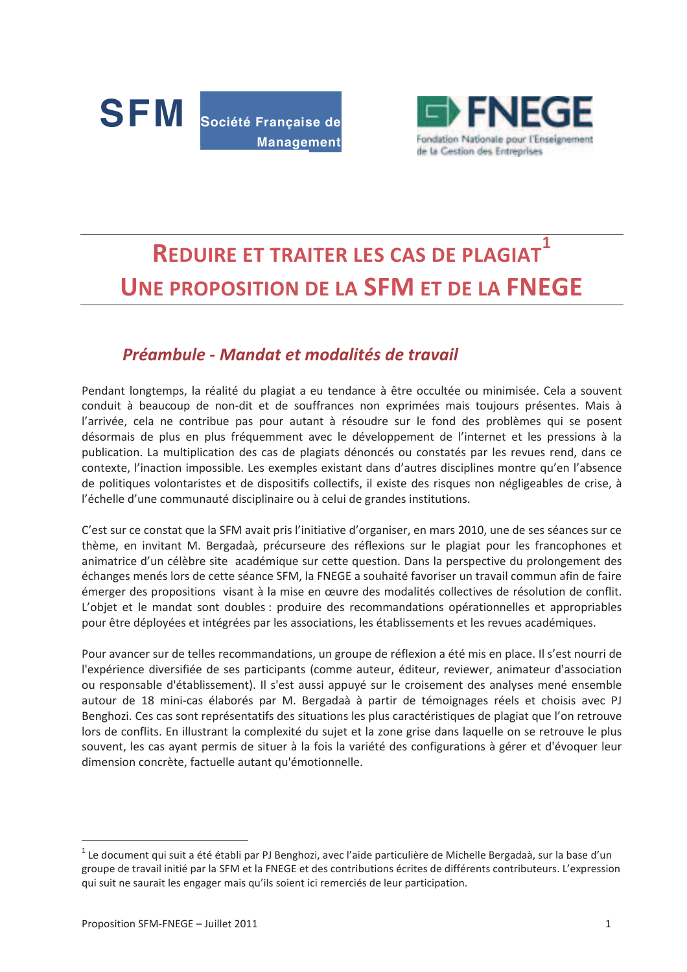



# 1 **REDUIRE ET TRAITER LES CAS DE PLAGIAT** UNE PROPOSITION DE LA SFM ET DE LA FNEGE

## Préambule - Mandat et modalités de travail

Pendant longtemps, la réalité du plagiat a eu tendance à être occultée ou minimisée. Cela a souvent conduit à beaucoup de non-dit et de souffrances non exprimées mais toujours présentes. Mais à l'arrivée, cela ne contribue pas pour autant à résoudre sur le fond des problèmes qui se posent désormais de plus en plus fréquemment avec le développement de l'internet et les pressions à la publication. La multiplication des cas de plagiats dénoncés ou constatés par les revues rend, dans ce contexte, l'inaction impossible. Les exemples existant dans d'autres disciplines montre qu'en l'absence de politiques volontaristes et de dispositifs collectifs, il existe des risques non négligeables de crise, à l'échelle d'une communauté disciplinaire ou à celui de grandes institutions.

C'est sur ce constat que la SFM avait pris l'initiative d'organiser, en mars 2010, une de ses séances sur ce thème, en invitant M. Bergadaà, précurseure des réflexions sur le plagiat pour les francophones et animatrice d'un célèbre site académique sur cette question. Dans la perspective du prolongement des échanges menés lors de cette séance SFM, la FNEGE a souhaité favoriser un travail commun afin de faire émerger des propositions visant à la mise en œuvre des modalités collectives de résolution de conflit. L'objet et le mandat sont doubles : produire des recommandations opérationnelles et appropriables pour être déployées et intégrées par les associations, les établissements et les revues académiques.

Pour avancer sur de telles recommandations, un groupe de réflexion a été mis en place. Il s'est nourri de l'expérience diversifiée de ses participants (comme auteur, éditeur, reviewer, animateur d'association ou responsable d'établissement). Il s'est aussi appuyé sur le croisement des analyses mené ensemble autour de 18 mini-cas élaborés par M. Bergadaà à partir de témoignages réels et choisis avec PJ Benghozi. Ces cas sont représentatifs des situations les plus caractéristiques de plagiat que l'on retrouve lors de conflits. En illustrant la complexité du sujet et la zone grise dans laquelle on se retrouve le plus souvent, les cas ayant permis de situer à la fois la variété des configurations à gérer et d'évoquer leur dimension concrète, factuelle autant qu'émotionnelle.

<sup>&</sup>lt;sup>1</sup> Le document qui suit a été établi par PJ Benghozi, avec l'aide particulière de Michelle Bergadaà, sur la base d'un groupe de travail initié par la SFM et la FNEGE et des contributions écrites de différents contributeurs. L'expression qui suit ne saurait les engager mais qu'ils soient ici remerciés de leur participation.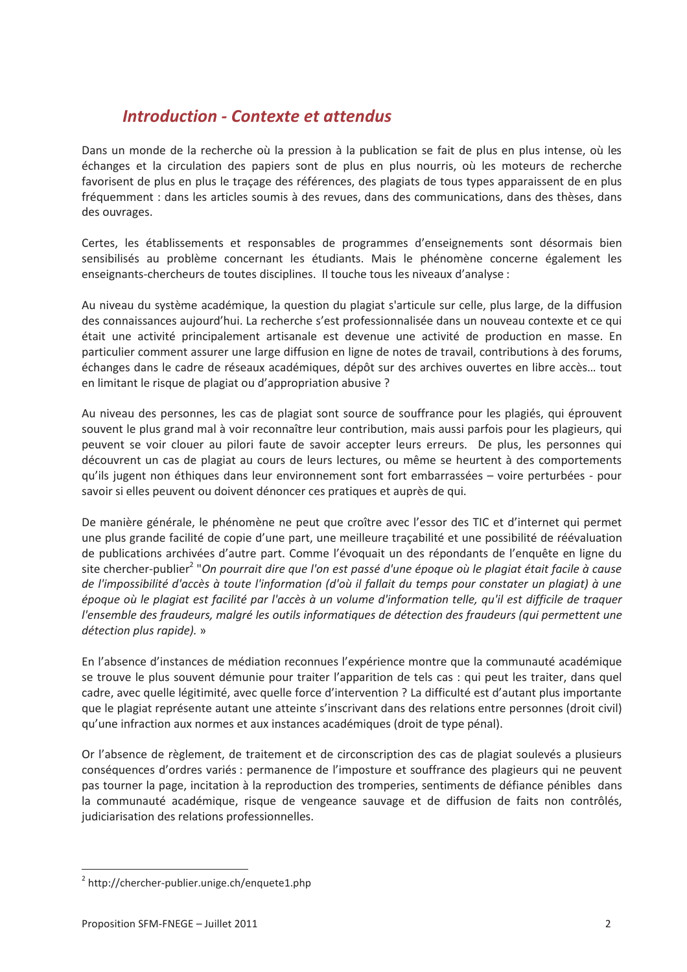## *Introduction - Contexte et attendus*

Dans un monde de la recherche où la pression à la publication se fait de plus en plus intense, où les échanges et la circulation des papiers sont de plus en plus nourris, où les moteurs de recherche favorisent de plus en plus le traçage des références, des plagiats de tous types apparaissent de en plus fréquemment : dans les articles soumis à des revues, dans des communications, dans des thèses, dans des ouvrages.

Certes, les établissements et responsables de programmes d'enseignements sont désormais bien sensibilisés au problème concernant les étudiants. Mais le phénomène concerne également les  $e$ nseignants-chercheurs de toutes disciplines. Il touche tous les niveaux d'analyse :

Au niveau du système académique, la question du plagiat s'articule sur celle, plus large, de la diffusion des connaissances aujourd'hui. La recherche s'est professionnalisée dans un nouveau contexte et ce qui était une activité principalement artisanale est devenue une activité de production en masse. En particulier comment assurer une large diffusion en ligne de notes de travail, contributions à des forums, échanges dans le cadre de réseaux académiques, dépôt sur des archives ouvertes en libre accès... tout en limitant le risque de plagiat ou d'appropriation abusive ?

Au niveau des personnes, les cas de plagiat sont source de souffrance pour les plagiés, qui éprouvent souvent le plus grand mal à voir reconnaître leur contribution, mais aussi parfois pour les plagieurs, qui peuvent se voir clouer au pilori faute de savoir accepter leurs erreurs. De plus, les personnes qui découvrent un cas de plagiat au cours de leurs lectures, ou même se heurtent à des comportements gu'ils jugent non éthiques dans leur environnement sont fort embarrassées – voire perturbées - pour savoir si elles peuvent ou doivent dénoncer ces pratiques et auprès de qui.

De manière générale, le phénomène ne peut que croître avec l'essor des TIC et d'internet qui permet une plus grande facilité de copie d'une part, une meilleure tracabilité et une possibilité de réévaluation de publications archivées d'autre part. Comme l'évoquait un des répondants de l'enquête en ligne du site chercher-publier<sup>2</sup> "On pourrait dire que l'on est passé d'une époque où le plagiat était facile à cause de l'impossibilité d'accès à toute l'information (d'où il fallait du temps pour constater un plagiat) à une époque où le plagiat est facilité par l'accès à un volume d'information telle, qu'il est difficile de traquer *l'ensemble des fraudeurs, malgré les outils informatiques de détection des fraudeurs (qui permettent une détection plus rapide).* »

En l'absence d'instances de médiation reconnues l'expérience montre que la communauté académique se trouve le plus souvent démunie pour traiter l'apparition de tels cas : qui peut les traiter, dans quel cadre, avec quelle légitimité, avec quelle force d'intervention ? La difficulté est d'autant plus importante que le plagiat représente autant une atteinte s'inscrivant dans des relations entre personnes (droit civil) qu'une infraction aux normes et aux instances académiques (droit de type pénal).

Or l'absence de règlement, de traitement et de circonscription des cas de plagiat soulevés a plusieurs conséquences d'ordres variés : permanence de l'imposture et souffrance des plagieurs qui ne peuvent pas tourner la page, incitation à la reproduction des tromperies, sentiments de défiance pénibles dans la communauté académique, risque de vengeance sauvage et de diffusion de faits non contrôlés, judiciarisation des relations professionnelles.

 $\overline{a}$ 

 $^2$  http://chercher-publier.unige.ch/enquete1.php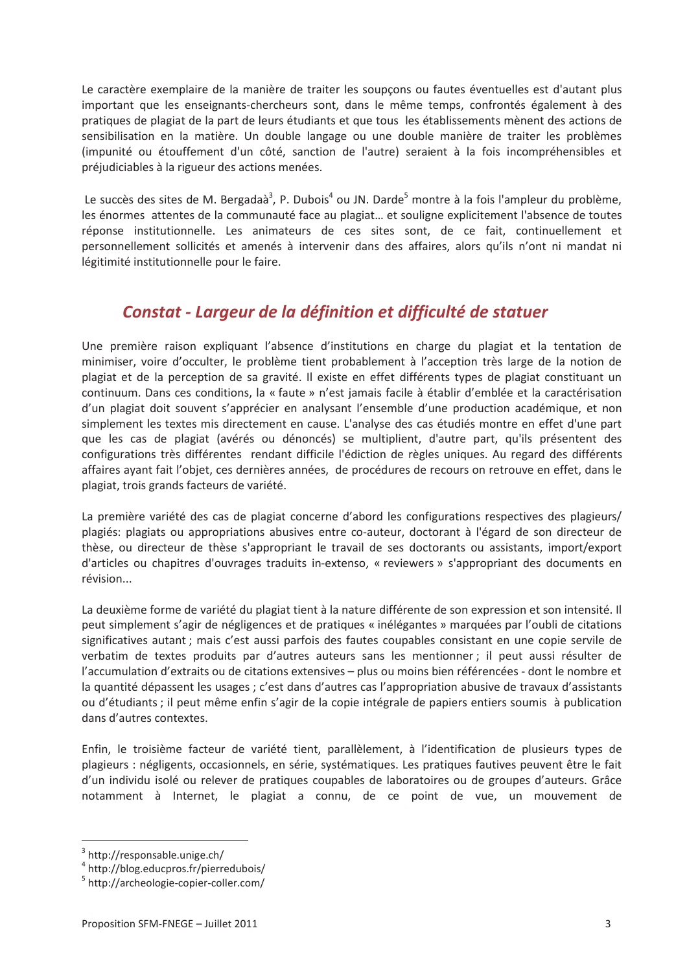Le caractère exemplaire de la manière de traiter les soupçons ou fautes éventuelles est d'autant plus important que les enseignants-chercheurs sont, dans le même temps, confrontés également à des pratiques de plagiat de la part de leurs étudiants et que tous les établissements mènent des actions de sensibilisation en la matière. Un double langage ou une double manière de traiter les problèmes (impunité ou étouffement d'un côté, sanction de l'autre) seraient à la fois incompréhensibles et préjudiciables à la rigueur des actions menées.

Le succès des sites de M. Bergadaà<sup>3</sup>, P. Dubois<sup>4</sup> ou JN. Darde<sup>5</sup> montre à la fois l'ampleur du problème. les énormes attentes de la communauté face au plagiat... et souligne explicitement l'absence de toutes réponse institutionnelle. Les animateurs de ces sites sont, de ce fait, continuellement et personnellement sollicités et amenés à intervenir dans des affaires, alors qu'ils n'ont ni mandat ni légitimité institutionnelle pour le faire.

## Constat - Largeur de la définition et difficulté de statuer

Une première raison expliquant l'absence d'institutions en charge du plagiat et la tentation de minimiser, voire d'occulter, le problème tient probablement à l'acception très large de la notion de plagiat et de la perception de sa gravité. Il existe en effet différents types de plagiat constituant un continuum. Dans ces conditions, la « faute » n'est jamais facile à établir d'emblée et la caractérisation d'un plagiat doit souvent s'apprécier en analysant l'ensemble d'une production académique, et non simplement les textes mis directement en cause. L'analyse des cas étudiés montre en effet d'une part que les cas de plagiat (avérés ou dénoncés) se multiplient, d'autre part, qu'ils présentent des configurations très différentes rendant difficile l'édiction de règles uniques. Au regard des différents affaires ayant fait l'objet, ces dernières années, de procédures de recours on retrouve en effet, dans le plagiat, trois grands facteurs de variété.

La première variété des cas de plagiat concerne d'abord les configurations respectives des plagieurs/ plagiés: plagiats ou appropriations abusives entre co-auteur, doctorant à l'égard de son directeur de thèse, ou directeur de thèse s'appropriant le travail de ses doctorants ou assistants, import/export d'articles ou chapitres d'ouvrages traduits in-extenso, « reviewers » s'appropriant des documents en révision...

La deuxième forme de variété du plagiat tient à la nature différente de son expression et son intensité. Il peut simplement s'agir de négligences et de pratiques « inélégantes » marquées par l'oubli de citations significatives autant ; mais c'est aussi parfois des fautes coupables consistant en une copie servile de verbatim de textes produits par d'autres auteurs sans les mentionner; il peut aussi résulter de l'accumulation d'extraits ou de citations extensives - plus ou moins bien référencées - dont le nombre et la quantité dépassent les usages ; c'est dans d'autres cas l'appropriation abusive de travaux d'assistants ou d'étudiants : il peut même enfin s'agir de la copie intégrale de papiers entiers soumis à publication dans d'autres contextes.

Enfin, le troisième facteur de variété tient, parallèlement, à l'identification de plusieurs types de plagieurs : négligents, occasionnels, en série, systématiques. Les pratiques fautives peuvent être le fait d'un individu isolé ou relever de pratiques coupables de laboratoires ou de groupes d'auteurs. Grâce notamment à Internet, le plagiat a connu, de ce point de vue, un mouvement de

<sup>&</sup>lt;sup>3</sup> http://responsable.unige.ch/

<sup>&</sup>lt;sup>4</sup> http://blog.educpros.fr/pierredubois/

<sup>&</sup>lt;sup>5</sup> http://archeologie-copier-coller.com/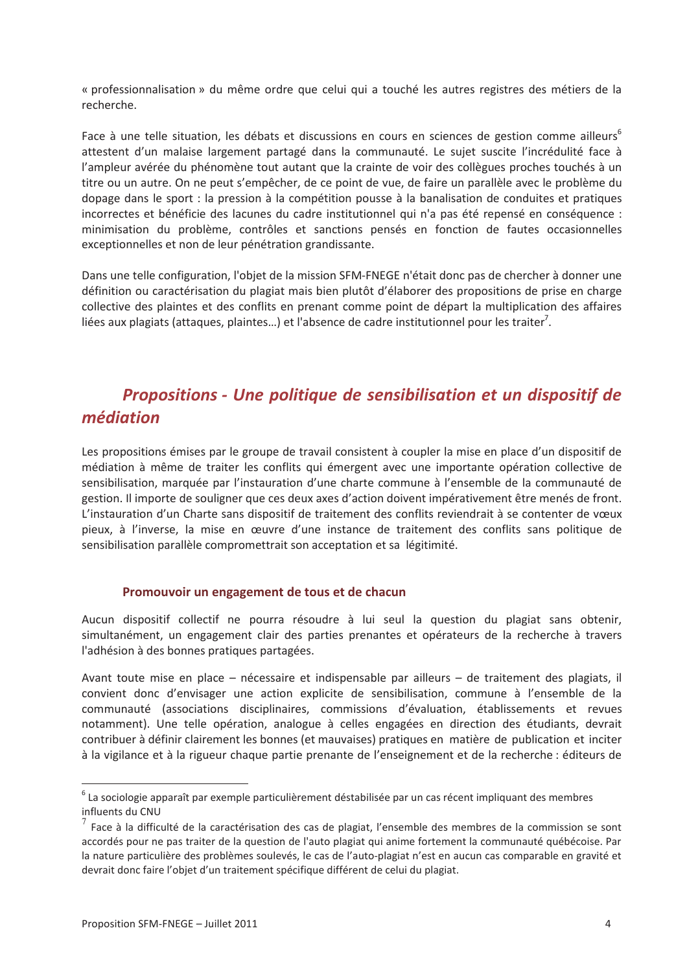« professionnalisation » du même ordre que celui qui a touché les autres registres des métiers de la recherche

Face à une telle situation, les débats et discussions en cours en sciences de gestion comme ailleurs<sup>6</sup> attestent d'un malaise largement partagé dans la communauté. Le sujet suscite l'incrédulité face à l'ampleur avérée du phénomène tout autant que la crainte de voir des collègues proches touchés à un titre ou un autre. On ne peut s'empêcher, de ce point de vue, de faire un parallèle avec le problème du dopage dans le sport : la pression à la compétition pousse à la banalisation de conduites et pratiques incorrectes et bénéficie des lacunes du cadre institutionnel qui n'a pas été repensé en conséquence : minimisation du problème, contrôles et sanctions pensés en fonction de fautes occasionnelles exceptionnelles et non de leur pénétration grandissante.

Dans une telle configuration. l'obiet de la mission SFM-FNEGE n'était donc pas de chercher à donner une définition ou caractérisation du plagiat mais bien plutôt d'élaborer des propositions de prise en charge collective des plaintes et des conflits en prenant comme point de départ la multiplication des affaires liées aux plagiats (attaques, plaintes...) et l'absence de cadre institutionnel pour les traiter<sup>7</sup>.

# Propositions - Une politique de sensibilisation et un dispositif de médiation

Les propositions émises par le groupe de travail consistent à coupler la mise en place d'un dispositif de médiation à même de traiter les conflits qui émergent avec une importante opération collective de sensibilisation, marquée par l'instauration d'une charte commune à l'ensemble de la communauté de gestion. Il importe de souligner que ces deux axes d'action doivent impérativement être menés de front. L'instauration d'un Charte sans dispositif de traitement des conflits reviendrait à se contenter de vœux pieux, à l'inverse, la mise en œuvre d'une instance de traitement des conflits sans politique de sensibilisation parallèle compromettrait son acceptation et sa légitimité.

#### Promouvoir un engagement de tous et de chacun

Aucun dispositif collectif ne pourra résoudre à lui seul la question du plagiat sans obtenir, simultanément, un engagement clair des parties prenantes et opérateurs de la recherche à travers l'adhésion à des bonnes pratiques partagées.

Avant toute mise en place - nécessaire et indispensable par ailleurs - de traitement des plagiats, il convient donc d'envisager une action explicite de sensibilisation, commune à l'ensemble de la communauté (associations disciplinaires, commissions d'évaluation, établissements et revues notamment). Une telle opération, analogue à celles engagées en direction des étudiants, devrait contribuer à définir clairement les bonnes (et mauvaises) pratiques en matière de publication et inciter à la vigilance et à la rigueur chaque partie prenante de l'enseignement et de la recherche : éditeurs de

<sup>&</sup>lt;sup>6</sup> La sociologie apparaît par exemple particulièrement déstabilisée par un cas récent impliquant des membres influents du CNU

 $^7$  Face à la difficulté de la caractérisation des cas de plagiat, l'ensemble des membres de la commission se sont accordés pour ne pas traiter de la question de l'auto plagiat qui anime fortement la communauté québécoise. Par la nature particulière des problèmes soulevés, le cas de l'auto-plagiat n'est en aucun cas comparable en gravité et devrait donc faire l'objet d'un traitement spécifique différent de celui du plagiat.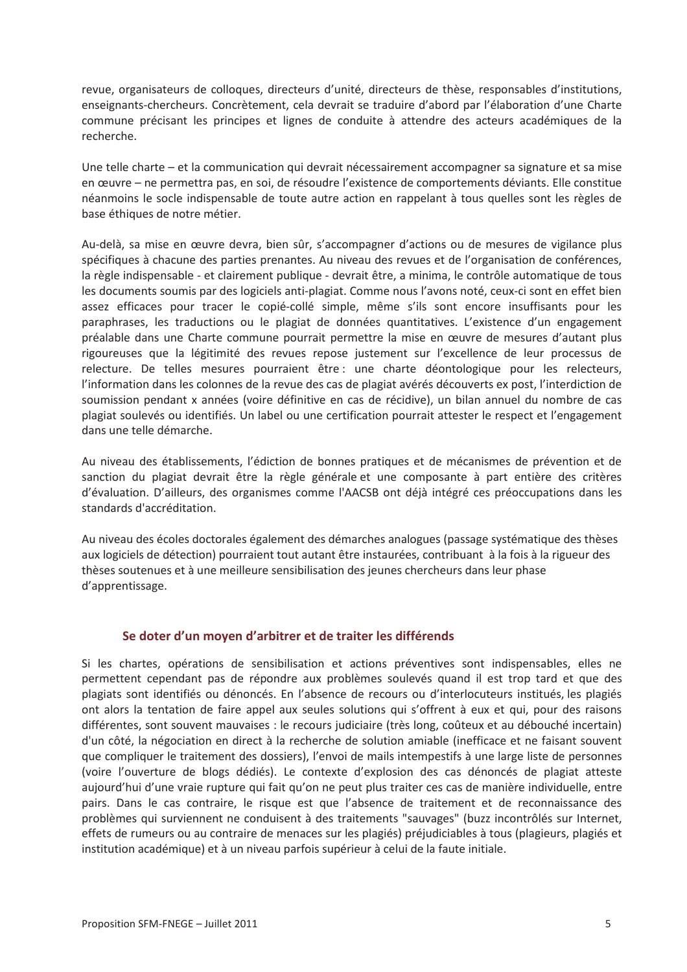revue, organisateurs de colloques, directeurs d'unité, directeurs de thèse, responsables d'institutions, enseignants-chercheurs. Concrètement, cela devrait se traduire d'abord par l'élaboration d'une Charte commune précisant les principes et lignes de conduite à attendre des acteurs académiques de la recherche.

Une telle charte – et la communication qui devrait nécessairement accompagner sa signature et sa mise en œuvre - ne permettra pas, en soi, de résoudre l'existence de comportements déviants. Elle constitue néanmoins le socle indispensable de toute autre action en rappelant à tous quelles sont les règles de base éthiques de notre métier.

Au-delà, sa mise en œuvre devra, bien sûr, s'accompagner d'actions ou de mesures de vigilance plus spécifiques à chacune des parties prenantes. Au niveau des revues et de l'organisation de conférences, la règle indispensable - et clairement publique - devrait être, a minima, le contrôle automatique de tous les documents soumis par des logiciels anti-plagiat. Comme nous l'avons noté, ceux-ci sont en effet bien assez efficaces pour tracer le copié-collé simple, même s'ils sont encore insuffisants pour les paraphrases, les traductions ou le plagiat de données quantitatives. L'existence d'un engagement préalable dans une Charte commune pourrait permettre la mise en œuvre de mesures d'autant plus rigoureuses que la légitimité des revues repose justement sur l'excellence de leur processus de relecture. De telles mesures pourraient être : une charte déontologique pour les relecteurs, l'information dans les colonnes de la revue des cas de plagiat avérés découverts ex post, l'interdiction de soumission pendant x années (voire définitive en cas de récidive), un bilan annuel du nombre de cas plagiat soulevés ou identifiés. Un label ou une certification pourrait attester le respect et l'engagement dans une telle démarche.

Au niveau des établissements, l'édiction de bonnes pratiques et de mécanismes de prévention et de sanction du plagiat devrait être la règle générale et une composante à part entière des critères d'évaluation. D'ailleurs, des organismes comme l'AACSB ont déjà intégré ces préoccupations dans les standards d'accréditation.

Au niveau des écoles doctorales également des démarches analogues (passage systématique des thèses aux logiciels de détection) pourraient tout autant être instaurées, contribuant à la fois à la rigueur des thèses soutenues et à une meilleure sensibilisation des jeunes chercheurs dans leur phase d'apprentissage.

### Se doter d'un moyen d'arbitrer et de traiter les différends

Si les chartes, opérations de sensibilisation et actions préventives sont indispensables, elles ne permettent cependant pas de répondre aux problèmes soulevés quand il est trop tard et que des plagiats sont identifiés ou dénoncés. En l'absence de recours ou d'interlocuteurs institués, les plagiés ont alors la tentation de faire appel aux seules solutions qui s'offrent à eux et qui, pour des raisons différentes, sont souvent mauvaises : le recours judiciaire (très long, coûteux et au débouché incertain) d'un côté, la négociation en direct à la recherche de solution amiable (inefficace et ne faisant souvent que compliquer le traitement des dossiers), l'envoi de mails intempestifs à une large liste de personnes (voire l'ouverture de blogs dédiés). Le contexte d'explosion des cas dénoncés de plagiat atteste aujourd'hui d'une vraie rupture qui fait qu'on ne peut plus traiter ces cas de manière individuelle, entre pairs. Dans le cas contraire, le risque est que l'absence de traitement et de reconnaissance des problèmes qui surviennent ne conduisent à des traitements "sauvages" (buzz incontrôlés sur Internet, effets de rumeurs ou au contraire de menaces sur les plagiés) préjudiciables à tous (plagieurs, plagiés et institution académique) et à un niveau parfois supérieur à celui de la faute initiale.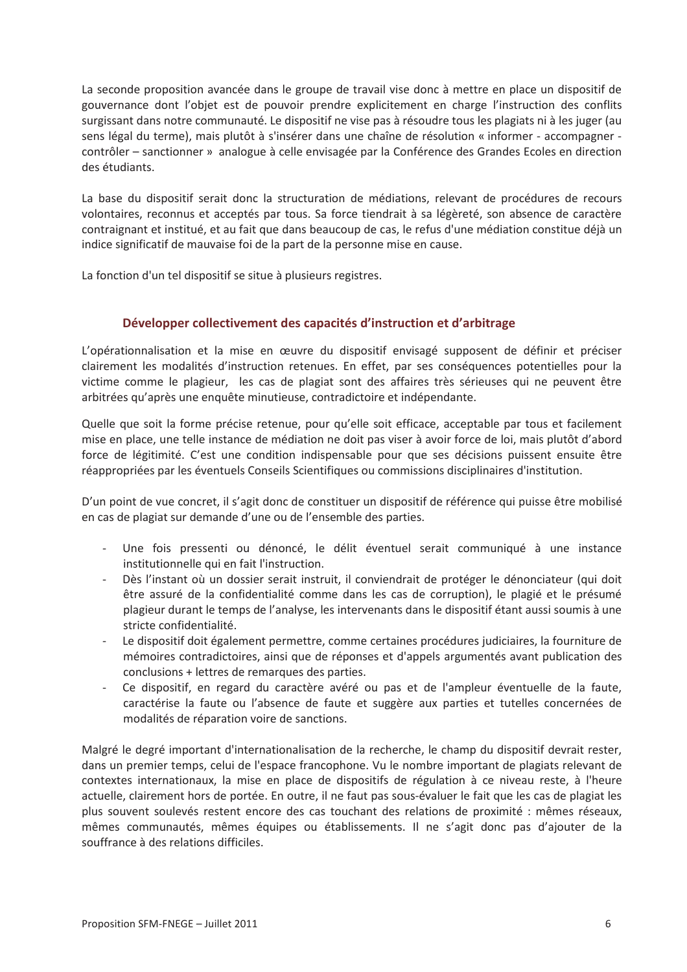La seconde proposition avancée dans le groupe de travail vise donc à mettre en place un dispositif de gouvernance dont l'objet est de pouvoir prendre explicitement en charge l'instruction des conflits surgissant dans notre communauté. Le dispositif ne vise pas à résoudre tous les plagiats ni à les juger (au sens légal du terme), mais plutôt à s'insérer dans une chaîne de résolution « informer - accompagner - $\text{contrôler}$  – sanctionner » analogue à celle envisagée par la Conférence des Grandes Ecoles en direction des étudiants.

La base du dispositif serait donc la structuration de médiations, relevant de procédures de recours volontaires, reconnus et acceptés par tous. Sa force tiendrait à sa légèreté, son absence de caractère  $\alpha$  contraignant et institué, et au fait que dans beaucoup de cas, le refus d'une médiation constitue déjà un indice significatif de mauvaise foi de la part de la personne mise en cause.

La fonction d'un tel dispositif se situe à plusieurs registres.

### **Développer collectivement des capacités d'instruction et d'arbitrage**

L'opérationnalisation et la mise en œuvre du dispositif envisagé supposent de définir et préciser clairement les modalités d'instruction retenues. En effet, par ses conséquences potentielles pour la victime comme le plagieur, les cas de plagiat sont des affaires très sérieuses qui ne peuvent être arbitrées qu'après une enquête minutieuse, contradictoire et indépendante.

Quelle que soit la forme précise retenue, pour qu'elle soit efficace, acceptable par tous et facilement mise en place, une telle instance de médiation ne doit pas viser à avoir force de loi, mais plutôt d'abord force de légitimité. C'est une condition indispensable pour que ses décisions puissent ensuite être réappropriées par les éventuels Conseils Scientifiques ou commissions disciplinaires d'institution.

D'un point de vue concret, il s'agit donc de constituer un dispositif de référence qui puisse être mobilisé en cas de plagiat sur demande d'une ou de l'ensemble des parties.

- Une fois pressenti ou dénoncé, le délit éventuel serait communiqué à une instance institutionnelle qui en fait l'instruction.
- Dès l'instant où un dossier serait instruit, il conviendrait de protéger le dénonciateur (qui doit être assuré de la confidentialité comme dans les cas de corruption), le plagié et le présumé plagieur durant le temps de l'analyse, les intervenants dans le dispositif étant aussi soumis à une stricte confidentialité.
- Le dispositif doit également permettre, comme certaines procédures judiciaires, la fourniture de mémoires contradictoires, ainsi que de réponses et d'appels argumentés avant publication des  $conclusions + letters de remarques des parties.$
- Ce dispositif, en regard du caractère avéré ou pas et de l'ampleur éventuelle de la faute, caractérise la faute ou l'absence de faute et suggère aux parties et tutelles concernées de modalités de réparation voire de sanctions.

Malgré le degré important d'internationalisation de la recherche, le champ du dispositif devrait rester, dans un premier temps, celui de l'espace francophone. Vu le nombre important de plagiats relevant de contextes internationaux, la mise en place de dispositifs de régulation à ce niveau reste, à l'heure actuelle, clairement hors de portée. En outre, il ne faut pas sous-évaluer le fait que les cas de plagiat les plus souvent soulevés restent encore des cas touchant des relations de proximité : mêmes réseaux, mêmes communautés, mêmes équipes ou établissements. Il ne s'agit donc pas d'ajouter de la souffrance à des relations difficiles.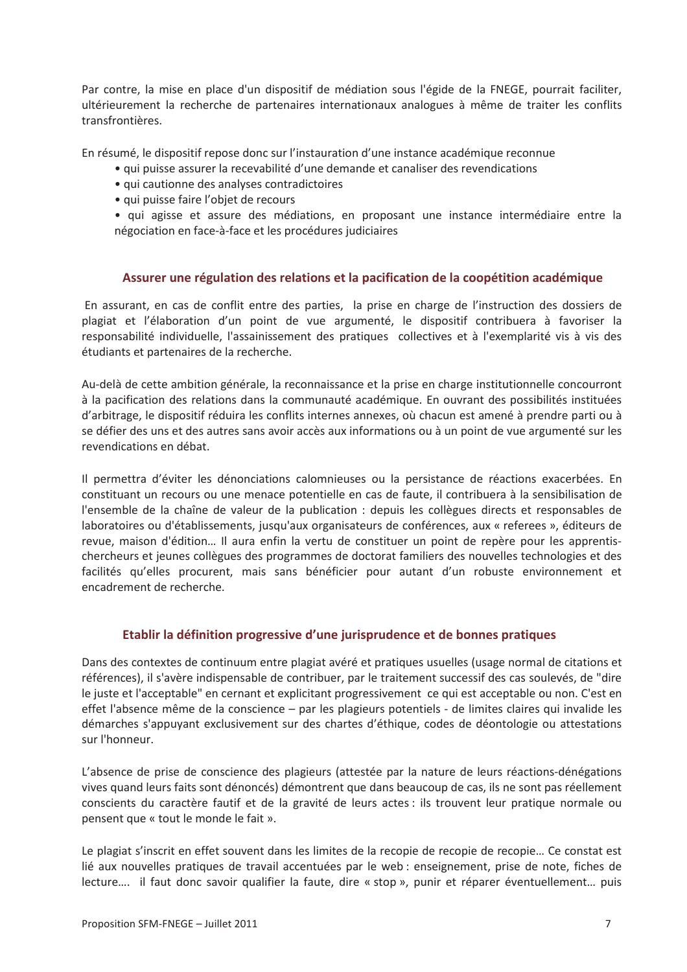Par contre, la mise en place d'un dispositif de médiation sous l'égide de la FNEGE, pourrait faciliter, ultérieurement la recherche de partenaires internationaux analogues à même de traiter les conflits transfrontières.

En résumé, le dispositif repose donc sur l'instauration d'une instance académique reconnue

- · qui puisse assurer la recevabilité d'une demande et canaliser des revendications
- qui cautionne des analyses contradictoires
- · qui puisse faire l'objet de recours

· qui agisse et assure des médiations, en proposant une instance intermédiaire entre la négociation en face-à-face et les procédures judiciaires

### Assurer une régulation des relations et la pacification de la coopétition académique

En assurant, en cas de conflit entre des parties, la prise en charge de l'instruction des dossiers de plagiat et l'élaboration d'un point de vue argumenté, le dispositif contribuera à favoriser la responsabilité individuelle, l'assainissement des pratiques collectives et à l'exemplarité vis à vis des étudiants et partenaires de la recherche.

Au-delà de cette ambition générale, la reconnaissance et la prise en charge institutionnelle concourront à la pacification des relations dans la communauté académique. En ouvrant des possibilités instituées d'arbitrage, le dispositif réduira les conflits internes annexes, où chacun est amené à prendre parti ou à se défier des uns et des autres sans avoir accès aux informations ou à un point de vue argumenté sur les revendications en débat.

Il permettra d'éviter les dénonciations calomnieuses ou la persistance de réactions exacerbées. En constituant un recours ou une menace potentielle en cas de faute, il contribuera à la sensibilisation de l'ensemble de la chaîne de valeur de la publication : depuis les collègues directs et responsables de laboratoires ou d'établissements, jusqu'aux organisateurs de conférences, aux « referees », éditeurs de revue, maison d'édition... Il aura enfin la vertu de constituer un point de repère pour les apprentischercheurs et jeunes collègues des programmes de doctorat familiers des nouvelles technologies et des facilités qu'elles procurent, mais sans bénéficier pour autant d'un robuste environnement et encadrement de recherche.

### Etablir la définition progressive d'une jurisprudence et de bonnes pratiques

Dans des contextes de continuum entre plagiat avéré et pratiques usuelles (usage normal de citations et références), il s'avère indispensable de contribuer, par le traitement successif des cas soulevés, de "dire le juste et l'acceptable" en cernant et explicitant progressivement ce qui est acceptable ou non. C'est en effet l'absence même de la conscience – par les plagieurs potentiels - de limites claires qui invalide les démarches s'appuyant exclusivement sur des chartes d'éthique, codes de déontologie ou attestations sur l'honneur.

L'absence de prise de conscience des plagieurs (attestée par la nature de leurs réactions-dénégations vives quand leurs faits sont dénoncés) démontrent que dans beaucoup de cas, ils ne sont pas réellement conscients du caractère fautif et de la gravité de leurs actes : ils trouvent leur pratique normale ou pensent que « tout le monde le fait ».

Le plagiat s'inscrit en effet souvent dans les limites de la recopie de recopie de recopie... Ce constat est lié aux nouvelles pratiques de travail accentuées par le web : enseignement, prise de note, fiches de lecture.... il faut donc savoir qualifier la faute, dire « stop », punir et réparer éventuellement... puis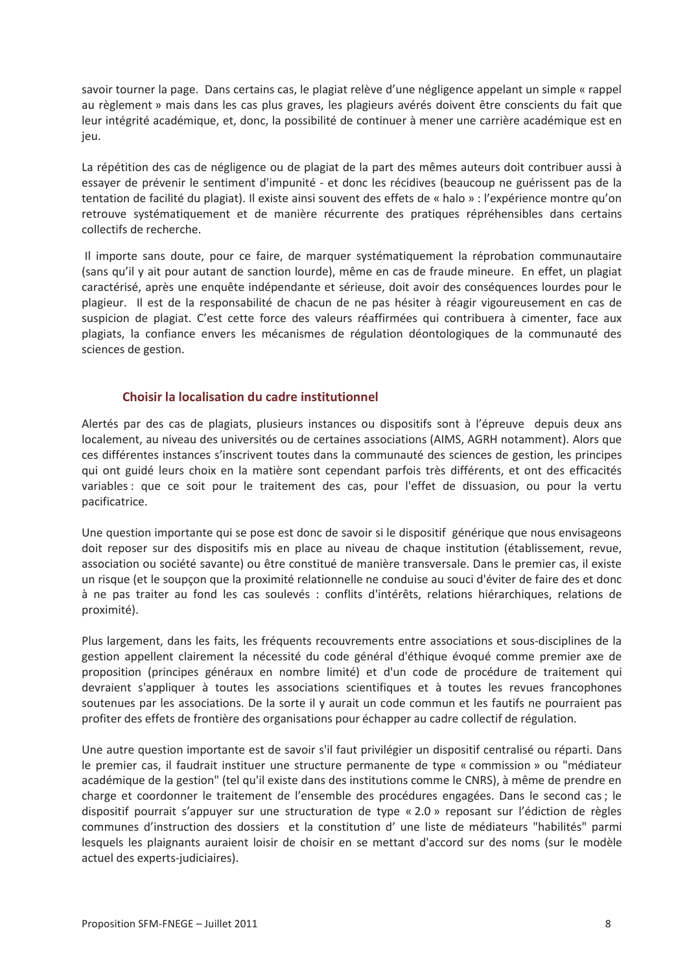savoir tourner la page. Dans certains cas, le plagiat relève d'une négligence appelant un simple « rappel au règlement » mais dans les cas plus graves, les plagieurs avérés doivent être conscients du fait que leur intégrité académique, et, donc, la possibilité de continuer à mener une carrière académique est en jeu.

La répétition des cas de négligence ou de plagiat de la part des mêmes auteurs doit contribuer aussi à essayer de prévenir le sentiment d'impunité - et donc les récidives (beaucoup ne guérissent pas de la tentation de facilité du plagiat). Il existe ainsi souvent des effets de « halo » : l'expérience montre qu'on retrouve systématiquement et de manière récurrente des pratiques répréhensibles dans certains collectifs de recherche.

Il importe sans doute, pour ce faire, de marquer systématiquement la réprobation communautaire (sans qu'il y ait pour autant de sanction lourde), même en cas de fraude mineure. En effet, un plagiat caractérisé, après une enquête indépendante et sérieuse, doit avoir des conséquences lourdes pour le plagieur. Il est de la responsabilité de chacun de ne pas hésiter à réagir vigoureusement en cas de suspicion de plagiat. C'est cette force des valeurs réaffirmées qui contribuera à cimenter, face aux plagiats, la confiance envers les mécanismes de régulation déontologiques de la communauté des sciences de gestion.

### Choisir la localisation du cadre institutionnel

Alertés par des cas de plagiats, plusieurs instances ou dispositifs sont à l'épreuve depuis deux ans localement, au niveau des universités ou de certaines associations (AIMS, AGRH notamment). Alors que ces différentes instances s'inscrivent toutes dans la communauté des sciences de gestion, les principes qui ont guidé leurs choix en la matière sont cependant parfois très différents, et ont des efficacités variables : que ce soit pour le traitement des cas, pour l'effet de dissuasion, ou pour la vertu pacificatrice.

Une question importante qui se pose est donc de savoir si le dispositif générique que nous envisageons doit reposer sur des dispositifs mis en place au niveau de chaque institution (établissement, revue, association ou société savante) ou être constitué de manière transversale. Dans le premier cas, il existe un risque (et le soupcon que la proximité relationnelle ne conduise au souci d'éviter de faire des et donc à ne pas traiter au fond les cas soulevés : conflits d'intérêts, relations hiérarchiques, relations de proximité).

Plus largement, dans les faits, les fréquents recouvrements entre associations et sous-disciplines de la gestion appellent clairement la nécessité du code général d'éthique évoqué comme premier axe de proposition (principes généraux en nombre limité) et d'un code de procédure de traitement qui devraient s'appliquer à toutes les associations scientifiques et à toutes les revues francophones soutenues par les associations. De la sorte il y aurait un code commun et les fautifs ne pourraient pas profiter des effets de frontière des organisations pour échapper au cadre collectif de régulation.

Une autre question importante est de savoir s'il faut privilégier un dispositif centralisé ou réparti. Dans le premier cas, il faudrait instituer une structure permanente de type « commission » ou "médiateur académique de la gestion" (tel qu'il existe dans des institutions comme le CNRS), à même de prendre en charge et coordonner le traitement de l'ensemble des procédures engagées. Dans le second cas ; le dispositif pourrait s'appuyer sur une structuration de type « 2.0 » reposant sur l'édiction de règles communes d'instruction des dossiers et la constitution d'une liste de médiateurs "habilités" parmi lesquels les plaignants auraient loisir de choisir en se mettant d'accord sur des noms (sur le modèle actuel des experts-judiciaires).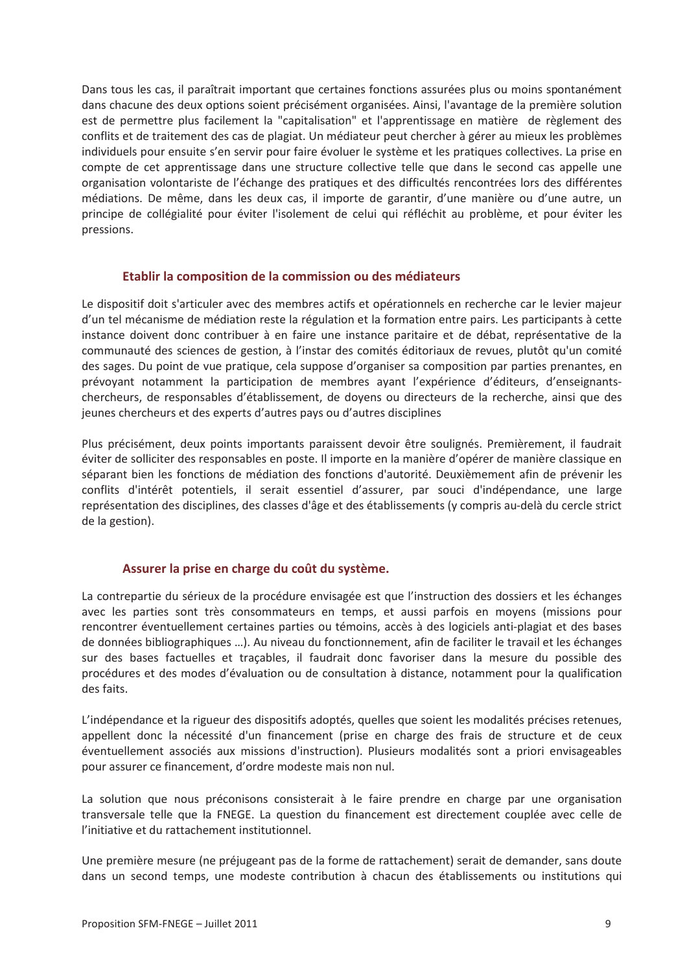Dans tous les cas, il paraîtrait important que certaines fonctions assurées plus ou moins spontanément dans chacune des deux options soient précisément organisées. Ainsi, l'avantage de la première solution est de permettre plus facilement la "capitalisation" et l'apprentissage en matière de règlement des conflits et de traitement des cas de plagiat. Un médiateur peut chercher à gérer au mieux les problèmes individuels pour ensuite s'en servir pour faire évoluer le système et les pratiques collectives. La prise en compte de cet apprentissage dans une structure collective telle que dans le second cas appelle une organisation volontariste de l'échange des pratiques et des difficultés rencontrées lors des différentes médiations. De même, dans les deux cas, il importe de garantir, d'une manière ou d'une autre, un principe de collégialité pour éviter l'isolement de celui qui réfléchit au problème, et pour éviter les pressions.

#### Etablir la composition de la commission ou des médiateurs

Le dispositif doit s'articuler avec des membres actifs et opérationnels en recherche car le levier maieur d'un tel mécanisme de médiation reste la régulation et la formation entre pairs. Les participants à cette instance doivent donc contribuer à en faire une instance paritaire et de débat, représentative de la communauté des sciences de gestion, à l'instar des comités éditoriaux de revues, plutôt qu'un comité des sages. Du point de vue pratique, cela suppose d'organiser sa composition par parties prenantes, en prévoyant notamment la participation de membres ayant l'expérience d'éditeurs, d'enseignantschercheurs, de responsables d'établissement, de doyens ou directeurs de la recherche, ainsi que des jeunes chercheurs et des experts d'autres pays ou d'autres disciplines

Plus précisément, deux points importants paraissent devoir être soulignés. Premièrement, il faudrait éviter de solliciter des responsables en poste. Il importe en la manière d'opérer de manière classique en séparant bien les fonctions de médiation des fonctions d'autorité. Deuxièmement afin de prévenir les conflits d'intérêt potentiels, il serait essentiel d'assurer, par souci d'indépendance, une large représentation des disciplines, des classes d'âge et des établissements (y compris au-delà du cercle strict de la gestion).

### Assurer la prise en charge du coût du système.

La contrepartie du sérieux de la procédure envisagée est que l'instruction des dossiers et les échanges avec les parties sont très consommateurs en temps, et aussi parfois en moyens (missions pour rencontrer éventuellement certaines parties ou témoins, accès à des logiciels anti-plagiat et des bases de données bibliographiques ...). Au niveau du fonctionnement, afin de faciliter le travail et les échanges sur des bases factuelles et traçables, il faudrait donc favoriser dans la mesure du possible des procédures et des modes d'évaluation ou de consultation à distance, notamment pour la qualification des faits.

L'indépendance et la rigueur des dispositifs adoptés, quelles que soient les modalités précises retenues, appellent donc la nécessité d'un financement (prise en charge des frais de structure et de ceux éventuellement associés aux missions d'instruction). Plusieurs modalités sont a priori envisageables pour assurer ce financement, d'ordre modeste mais non nul.

La solution que nous préconisons consisterait à le faire prendre en charge par une organisation transversale telle que la FNEGE. La question du financement est directement couplée avec celle de l'initiative et du rattachement institutionnel.

Une première mesure (ne préjugeant pas de la forme de rattachement) serait de demander, sans doute dans un second temps, une modeste contribution à chacun des établissements ou institutions qui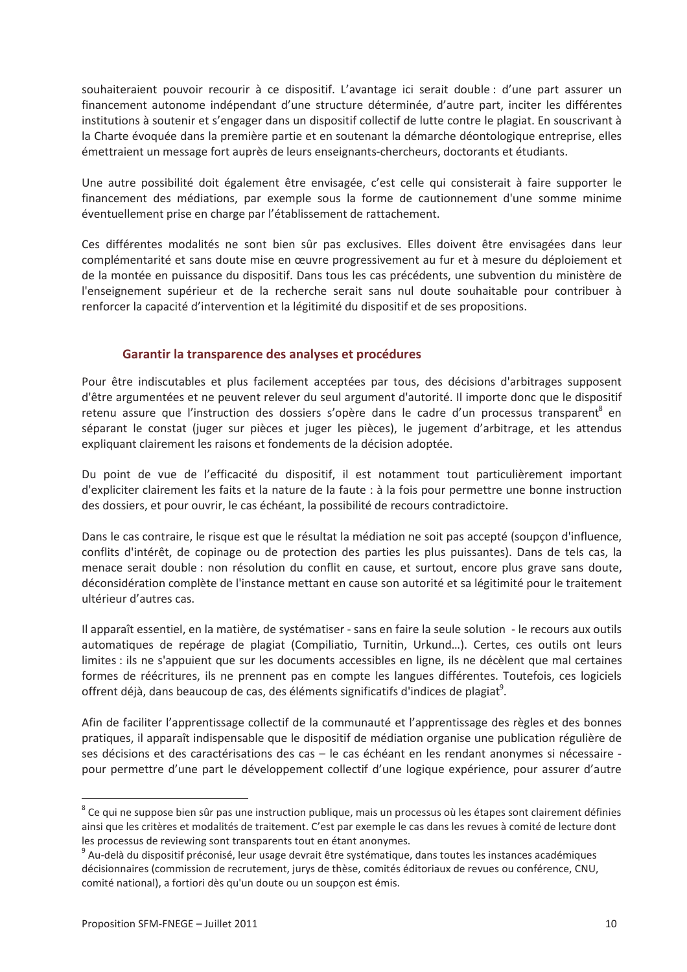souhaiteraient pouvoir recourir à ce dispositif. L'avantage ici serait double : d'une part assurer un financement autonome indépendant d'une structure déterminée, d'autre part, inciter les différentes institutions à soutenir et s'engager dans un dispositif collectif de lutte contre le plagiat. En souscrivant à la Charte évoquée dans la première partie et en soutenant la démarche déontologique entreprise, elles émettraient un message fort auprès de leurs enseignants-chercheurs, doctorants et étudiants.

Une autre possibilité doit également être envisagée, c'est celle qui consisterait à faire supporter le financement des médiations, par exemple sous la forme de cautionnement d'une somme minime éventuellement prise en charge par l'établissement de rattachement.

Ces différentes modalités ne sont bien sûr pas exclusives. Elles doivent être envisagées dans leur complémentarité et sans doute mise en œuvre progressivement au fur et à mesure du déploiement et de la montée en puissance du dispositif. Dans tous les cas précédents, une subvention du ministère de l'enseignement supérieur et de la recherche serait sans nul doute souhaitable pour contribuer à renforcer la capacité d'intervention et la légitimité du dispositif et de ses propositions.

#### Garantir la transparence des analyses et procédures

Pour être indiscutables et plus facilement acceptées par tous, des décisions d'arbitrages supposent d'être argumentées et ne peuvent relever du seul argument d'autorité. Il importe donc que le dispositif retenu assure que l'instruction des dossiers s'opère dans le cadre d'un processus transparent<sup>8</sup> en séparant le constat (juger sur pièces et juger les pièces), le jugement d'arbitrage, et les attendus expliquant clairement les raisons et fondements de la décision adoptée.

Du point de vue de l'efficacité du dispositif, il est notamment tout particulièrement important d'expliciter clairement les faits et la nature de la faute : à la fois pour permettre une bonne instruction des dossiers, et pour ouvrir, le cas échéant, la possibilité de recours contradictoire.

Dans le cas contraire, le risque est que le résultat la médiation ne soit pas accepté (soupçon d'influence, conflits d'intérêt, de copinage ou de protection des parties les plus puissantes). Dans de tels cas, la menace serait double : non résolution du conflit en cause, et surtout, encore plus grave sans doute, déconsidération complète de l'instance mettant en cause son autorité et sa légitimité pour le traitement ultérieur d'autres cas.

Il apparaît essentiel, en la matière, de systématiser - sans en faire la seule solution - le recours aux outils automatiques de repérage de plagiat (Compiliatio, Turnitin, Urkund...). Certes, ces outils ont leurs limites : ils ne s'appuient que sur les documents accessibles en ligne, ils ne décèlent que mal certaines formes de réécritures, ils ne prennent pas en compte les langues différentes. Toutefois, ces logiciels offrent déjà, dans beaucoup de cas, des éléments significatifs d'indices de plagiat<sup>9</sup>.

Afin de faciliter l'apprentissage collectif de la communauté et l'apprentissage des règles et des bonnes pratiques, il apparaît indispensable que le dispositif de médiation organise une publication régulière de ses décisions et des caractérisations des cas - le cas échéant en les rendant anonymes si nécessaire pour permettre d'une part le développement collectif d'une logique expérience, pour assurer d'autre

<sup>&</sup>lt;sup>8</sup> Ce qui ne suppose bien sûr pas une instruction publique, mais un processus où les étapes sont clairement définies ainsi que les critères et modalités de traitement. C'est par exemple le cas dans les revues à comité de lecture dont les processus de reviewing sont transparents tout en étant anonymes.

<sup>&</sup>lt;sup>9</sup> Au-delà du dispositif préconisé, leur usage devrait être systématique, dans toutes les instances académiques décisionnaires (commission de recrutement, jurys de thèse, comités éditoriaux de revues ou conférence, CNU, comité national), a fortiori dès qu'un doute ou un soupçon est émis.